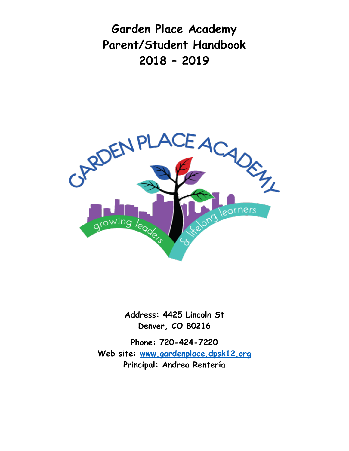**Garden Place Academy Parent/Student Handbook 2018 – 2019**



**Address: 4425 Lincoln St Denver, CO 80216**

**Phone: 720-424-7220 Web site: [www.gardenplace.dpsk12.org](http://www.gardenplace.dpsk12.org/) Principal: Andrea Rentería**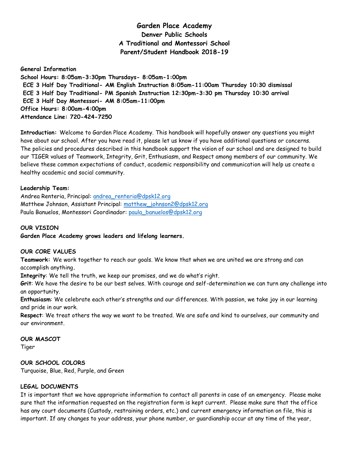# **Garden Place Academy Denver Public Schools A Traditional and Montessori School Parent/Student Handbook 2018-19**

**General Information School Hours: 8:05am-3:30pm Thursdays- 8:05am-1:00pm ECE 3 Half Day Traditional- AM English Instruction 8:05am-11:00am Thursday 10:30 dismissal ECE 3 Half Day Traditional- PM Spanish Instruction 12:30pm-3:30 pm Thursday 10:30 arrival ECE 3 Half Day Montessori- AM 8:05am-11:00pm Office Hours: 8:00am-4:00pm Attendance Line: 720-424-7250**

**Introduction:** Welcome to Garden Place Academy. This handbook will hopefully answer any questions you might have about our school. After you have read it, please let us know if you have additional questions or concerns. The policies and procedures described in this handbook support the vision of our school and are designed to build our TIGER values of Teamwork, Integrity, Grit, Enthusiasm, and Respect among members of our community. We believe these common expectations of conduct, academic responsibility and communication will help us create a healthy academic and social community.

#### **Leadership Team:**

Andrea Renteria, Principal: [andrea\\_renteria@dpsk12.org](mailto:andrea_renteria@dpsk12.org) Matthew Johnson, Assistant Principal: [matthew\\_johnson2@dpsk12.org](mailto:matthew_johnson2@dpsk12.org) Paula Banuelos, Montessori Coordinador: [paula\\_banuelos@dpsk12.org](mailto:paula_banuelos@dpsk12.org)

# **OUR VISION**

**Garden Place Academy grows leaders and lifelong learners.**

#### **OUR CORE VALUES**

**Teamwork:** We work together to reach our goals. We know that when we are united we are strong and can accomplish anything**.** 

**Integrity**: We tell the truth, we keep our promises, and we do what's right.

**Grit**: We have the desire to be our best selves. With courage and self-determination we can turn any challenge into an opportunity.

**Enthusiasm**: We celebrate each other's strengths and our differences. With passion, we take joy in our learning and pride in our work.

**Respect**: We treat others the way we want to be treated. We are safe and kind to ourselves, our community and our environment.

#### **OUR MASCOT**

Tiger

# **OUR SCHOOL COLORS**

Turquoise, Blue, Red, Purple, and Green

# **LEGAL DOCUMENTS**

It is important that we have appropriate information to contact all parents in case of an emergency. Please make sure that the information requested on the registration form is kept current. Please make sure that the office has any court documents (Custody, restraining orders, etc.) and current emergency information on file, this is important. If any changes to your address, your phone number, or guardianship occur at any time of the year,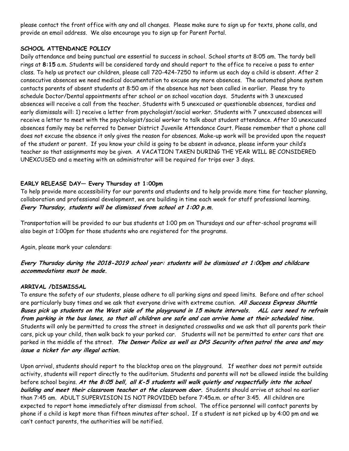please contact the front office with any and all changes. Please make sure to sign up for texts, phone calls, and provide an email address. We also encourage you to sign up for Parent Portal.

### **SCHOOL ATTENDANCE POLICY**

Daily attendance and being punctual are essential to success in school. School starts at 8:05 am. The tardy bell rings at **8:15** a.m. Students will be considered tardy and should report to the office to receive a pass to enter class. To help us protect our children, please call 720-424-7250 to inform us each day a child is absent. After 2 consecutive absences we need medical documentation to excuse any more absences. The automated phone system contacts parents of absent students at 8:50 am if the absence has not been called in earlier. Please try to schedule Doctor/Dental appointments after school or on school vacation days. Students with 3 unexcused absences will receive a call from the teacher. Students with 5 unexcused or questionable absences, tardies and early dismissals will: 1) receive a letter from psychologist/social worker. Students with 7 unexcused absences will receive a letter to meet with the psychologist/social worker to talk about student attendance. After 10 unexcused absences family may be referred to Denver District Juvenile Attendance Court. Please remember that a phone call does not excuse the absence it only gives the reason for absences. Make-up work will be provided upon the request of the student or parent. If you know your child is going to be absent in advance, please inform your child's teacher so that assignments may be given. A VACATION TAKEN DURING THE YEAR WILL BE CONSIDERED UNEXCUSED and a meeting with an administrator will be required for trips over 3 days.

# **EARLY RELEASE DAY— Every Thursday at 1:00pm**

To help provide more accessibility for our parents and students and to help provide more time for teacher planning, collaboration and professional development, we are building in time each week for staff professional learning. **Every Thursday, students will be dismissed from school at 1:00 p.m.** 

Transportation will be provided to our bus students at 1:00 pm on Thursdays and our after-school programs will also begin at 1:00pm for those students who are registered for the programs.

Again, please mark your calendars:

# **Every Thursday during the 2018-2019 school year: students will be dismissed at 1:00pm and childcare accommodations must be made.**

# **ARRIVAL /DISMISSAL**

To ensure the safety of our students, please adhere to all parking signs and speed limits. Before and after school are particularly busy times and we ask that everyone drive with extreme caution. **All Success Express Shuttle Buses pick up students on the West side of the playground in 15 minute intervals. ALL cars need to refrain from parking in the bus lanes, so that all children are safe and can arrive home at their scheduled time.**  Students will only be permitted to cross the street in designated crosswalks and we ask that all parents park their cars, pick up your child, then walk back to your parked car. Students will not be permitted to enter cars that are parked in the middle of the street. **The Denver Police as well as DPS Security often patrol the area and may issue a ticket for any illegal action.** 

Upon arrival, students should report to the blacktop area on the playground. If weather does not permit outside activity, students will report directly to the auditorium. Students and parents will not be allowed inside the building before school begins. **At the 8:05 bell, all K-5 students will walk quietly and respectfully into the school building and meet their classroom teacher at the classroom door.** Students should arrive at school no earlier than 7:45 am. ADULT SUPERVISION IS NOT PROVIDED before 7:45a.m. or after 3:45. All children are expected to report home immediately after dismissal from school. The office personnel will contact parents by phone if a child is kept more than fifteen minutes after school**.** If a student is not picked up by 4:00 pm and we can't contact parents, the authorities will be notified.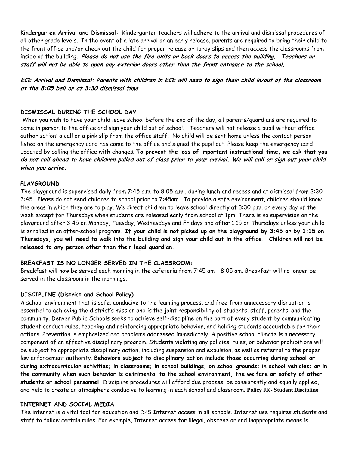**Kindergarten Arrival and Dismissal:** Kindergarten teachers will adhere to the arrival and dismissal procedures of all other grade levels. In the event of a late arrival or an early release, parents are required to bring their child to the front office and/or check out the child for proper release or tardy slips and then access the classrooms from inside of the building. **Please do not use the fire exits or back doors to access the building. Teachers or staff will not be able to open any exterior doors other than the front entrance to the school.**

**ECE Arrival and Dismissal: Parents with children in ECE will need to sign their child in/out of the classroom at the 8:05 bell or at 3:30 dismissal time**

#### **DISMISSAL DURING THE SCHOOL DAY**

When you wish to have your child leave school before the end of the day, all parents/guardians are required to come in person to the office and sign your child out of school. Teachers will not release a pupil without office authorization: a call or a pink slip from the office staff. No child will be sent home unless the contact person listed on the emergency card has come to the office and signed the pupil out. Please keep the emergency card updated by calling the office with changes. **To prevent the loss of important instructional time, we ask that you do not call ahead to have children pulled out of class prior to your arrival. We will call or sign out your child when you arrive.**

#### **PLAYGROUND**

The playground is supervised daily from 7:45 a.m. to 8:05 a.m., during lunch and recess and at dismissal from 3:30- 3:45. Please do not send children to school prior to 7:45am. To provide a safe environment, children should know the areas in which they are to play. We direct children to leave school directly at 3:30 p.m. on every day of the week except for Thursdays when students are released early from school at 1pm. There is no supervision on the playground after 3:45 on Monday, Tuesday, Wednesdays and Fridays and after 1:15 on Thursdays unless your child is enrolled in an after-school program. **If your child is not picked up on the playground by 3:45 or by 1:15 on Thursdays, you will need to walk into the building and sign your child out in the office. Children will not be released to any person other than their legal guardian.** 

#### **BREAKFAST IS NO LONGER SERVED IN THE CLASSROOM:**

Breakfast will now be served each morning in the cafeteria from 7:45 am – 8:05 am. Breakfast will no longer be served in the classroom in the mornings.

#### **DISCIPLINE (District and School Policy)**

A school environment that is safe, conducive to the learning process, and free from unnecessary disruption is essential to achieving the district's mission and is the joint responsibility of students, staff, parents, and the community. Denver Public Schools seeks to achieve self-discipline on the part of every student by communicating student conduct rules, teaching and reinforcing appropriate behavior, and holding students accountable for their actions. Prevention is emphasized and problems addressed immediately. A positive school climate is a necessary component of an effective disciplinary program. Students violating any policies, rules, or behavior prohibitions will be subject to appropriate disciplinary action, including suspension and expulsion, as well as referral to the proper law enforcement authority. **Behaviors subject to disciplinary action include those occurring during school or during extracurricular activities; in classrooms; in school buildings; on school grounds; in school vehicles; or in the community when such behavior is detrimental to the school environment, the welfare or safety of other students or school personnel.** Discipline procedures will afford due process, be consistently and equally applied, and help to create an atmosphere conducive to learning in each school and classroom. **Policy JK- Student Discipline**

#### **INTERNET AND SOCIAL MEDIA**

The internet is a vital tool for education and DPS Internet access in all schools. Internet use requires students and staff to follow certain rules. For example, Internet access for illegal, obscene or and inappropriate means is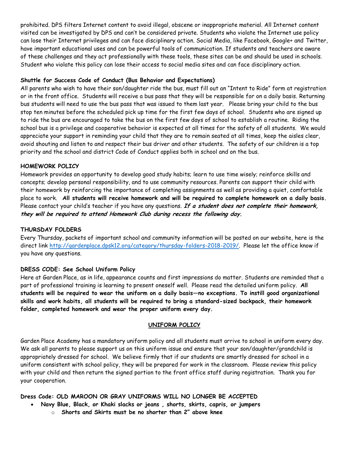prohibited. DPS filters Internet content to avoid illegal, obscene or inappropriate material. All Internet content visited can be investigated by DPS and can't be considered private. Students who violate the Internet use policy can lose their Internet privileges and can face disciplinary action. Social Media, like Facebook, Google+ and Twitter, have important educational uses and can be powerful tools of communication. If students and teachers are aware of these challenges and they act professionally with these tools, these sites can be and should be used in schools. Student who violate this policy can lose their access to social media sites and can face disciplinary action.

### **Shuttle for Success Code of Conduct (Bus Behavior and Expectations)**

All parents who wish to have their son/daughter ride the bus, must fill out an "Intent to Ride" form at registration or in the front office. Students will receive a bus pass that they will be responsible for on a daily basis. Returning bus students will need to use the bus pass that was issued to them last year. Please bring your child to the bus stop ten minutes before the scheduled pick up time for the first few days of school. Students who are signed up to ride the bus are encouraged to take the bus on the first few days of school to establish a routine. Riding the school bus is a privilege and cooperative behavior is expected at all times for the safety of all students. We would appreciate your support in reminding your child that they are to remain seated at all times, keep the aisles clear, avoid shouting and listen to and respect their bus driver and other students. The safety of our children is a top priority and the school and district Code of Conduct applies both in school and on the bus.

#### **HOMEWORK POLICY**

Homework provides an opportunity to develop good study habits; learn to use time wisely; reinforce skills and concepts; develop personal responsibility, and to use community resources. Parents can support their child with their homework by reinforcing the importance of completing assignments as well as providing a quiet, comfortable place to work. **All students will receive homework and will be required to complete homework on a daily basis.** Please contact your child's teacher if you have any questions. **If a student does not complete their homework, they will be required to attend Homework Club during recess the following day.** 

#### **THURSDAY FOLDERS**

Every Thursday, packets of important school and community information will be posted on our website, here is the direct link [http://gardenplace.dpsk12.org/category/thursday-folders-2018-2019/.](http://gardenplace.dpsk12.org/category/thursday-folders-2018-2019/) Please let the office know if you have any questions.

# **DRESS CODE: See School Uniform Policy**

Here at Garden Place, as in life, appearance counts and first impressions do matter. Students are reminded that a part of professional training is learning to present oneself well. Please read the detailed uniform policy. **All students will be required to wear the uniform on a daily basis—no exceptions. To instill good organizational skills and work habits, all students will be required to bring a standard-sized backpack, their homework folder, completed homework and wear the proper uniform every day.**

#### **UNIFORM POLICY**

Garden Place Academy has a mandatory uniform policy and all students must arrive to school in uniform every day. We ask all parents to please support us on this uniform issue and ensure that your son/daughter/grandchild is appropriately dressed for school. We believe firmly that if our students are smartly dressed for school in a uniform consistent with school policy, they will be prepared for work in the classroom. Please review this policy with your child and then return the signed portion to the front office staff during registration. Thank you for your cooperation.

**Dress Code: OLD MAROON OR GRAY UNIFORMS WILL NO LONGER BE ACCEPTED**

- **Navy Blue, Black, or Khaki slacks or jeans , shorts, skirts, capris, or jumpers**
	- o **Shorts and Skirts must be no shorter than 2" above knee**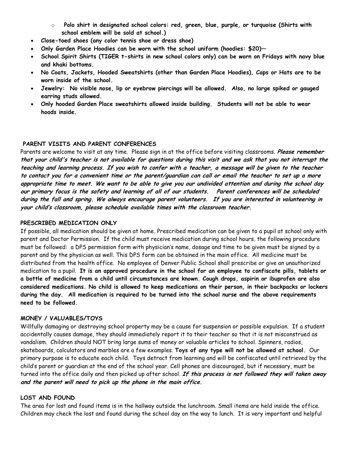- o **Polo shirt in designated school colors: red, green, blue, purple, or turquoise (Shirts with school emblem will be sold at school.)**
- **Close-toed shoes (any color tennis shoe or dress shoe)**
- **Only Garden Place Hoodies can be worn with the school uniform (hoodies: \$20)—**
- **School Spirit Shirts (TIGER t-shirts in new school colors only) can be worn on Fridays with navy blue and khaki bottoms.**
- **No Coats, Jackets, Hooded Sweatshirts (other than Garden Place Hoodies), Caps or Hats are to be worn inside of the school.**
- **Jewelry: No visible nose, lip or eyebrow piercings will be allowed. Also, no large spiked or gauged earring studs allowed.**
- **Only hooded Garden Place sweatshirts allowed inside building. Students will not be able to wear hoods inside.**

### **PARENT VISITS AND PARENT CONFERENCES**

Parents are welcome to visit at any time. Please sign in at the office before visiting classrooms. **Please remember that your child's teacher is not available for questions during this visit and we ask that you not interrupt the teaching and learning process. If you wish to confer with a teacher, a message will be given to the teacher to contact you for a convenient time or the parent/guardian can call or email the teacher to set up a more appropriate time to meet. We want to be able to give you our undivided attention and during the school day our primary focus is the safety and learning of all of our students. Parent conferences will be scheduled during the fall and spring. We always encourage parent volunteers. If you are interested in volunteering in your child's classroom, please schedule available times with the classroom teacher.**

#### **PRESCRIBED MEDICATION ONLY**

If possible, all medication should be given at home. Prescribed medication can be given to a pupil at school only with parent and Doctor Permission. If the child must receive medication during school hours, the following procedure must be followed: a DPS permission form with physician's name, dosage and time to be given must be signed by a parent and by the physician as well. This DPS form can be obtained in the main office. All medicine must be distributed from the health office. No employee of Denver Public School shall prescribe or give an unauthorized medication to a pupil. **It is an approved procedure in the school for an employee to confiscate pills, tablets or a bottle of medicine from a child until circumstances are known. Cough drops, aspirin or ibuprofen are also considered medications. No child is allowed to keep medications on their person, in their backpacks or lockers during the day. All medication is required to be turned into the school nurse and the above requirements need to be followed.** 

#### **MONEY / VALUABLES/TOYS**

Willfully damaging or destroying school property may be a cause for suspension or possible expulsion. If a student accidentally causes damage, they should immediately report it to their teacher so that it is not misconstrued as vandalism. Children should NOT bring large sums of money or valuable articles to school. Spinners, radios, skateboards, calculators and marbles are a few examples. **Toys of any type will not be allowed at school.** Our primary purpose is to educate each child. Toys detract from learning and will be confiscated until retrieved by the child's parent or guardian at the end of the school year. Cell phones are discouraged, but if necessary, must be turned into the office daily and then picked up after school. **If this process is not followed they will taken away and the parent will need to pick up the phone in the main office.**

#### **LOST AND FOUND**

The area for lost and found items is in the hallway outside the lunchroom. Small items are held inside the office. Children may check the lost and found during the school day on the way to lunch. It is very important and helpful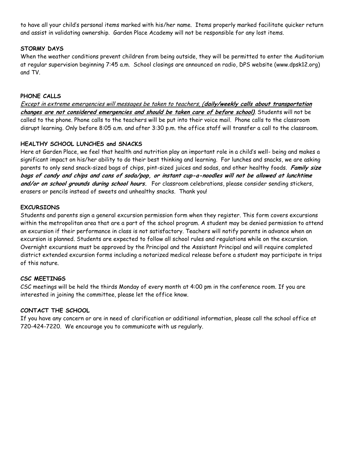to have all your child's personal items marked with his/her name. Items properly marked facilitate quicker return and assist in validating ownership. Garden Place Academy will not be responsible for any lost items.

# **STORMY DAYS**

When the weather conditions prevent children from being outside, they will be permitted to enter the Auditorium at regular supervision beginning 7:45 a.m. School closings are announced on radio, DPS website (www.dpsk12.org) and TV.

# **PHONE CALLS**

Except in extreme emergencies will messages be taken to teachers, (**daily/weekly calls about transportation changes are not considered emergencies and should be taken care of before school)**. Students will not be called to the phone. Phone calls to the teachers will be put into their voice mail. Phone calls to the classroom disrupt learning. Only before 8:05 a.m. and after 3:30 p.m. the office staff will transfer a call to the classroom.

# **HEALTHY SCHOOL LUNCHES and SNACKS**

Here at Garden Place, we feel that health and nutrition play an important role in a child's well- being and makes a significant impact on his/her ability to do their best thinking and learning. For lunches and snacks, we are asking parents to only send snack-sized bags of chips, pint-sized juices and sodas, and other healthy foods. **Family size bags of candy and chips and cans of soda/pop, or instant cup-a-noodles will not be allowed at lunchtime and/or on school grounds during school hours.** For classroom celebrations, please consider sending stickers, erasers or pencils instead of sweets and unhealthy snacks. Thank you!

# **EXCURSIONS**

Students and parents sign a general excursion permission form when they register. This form covers excursions within the metropolitan area that are a part of the school program. A student may be denied permission to attend an excursion if their performance in class is not satisfactory. Teachers will notify parents in advance when an excursion is planned. Students are expected to follow all school rules and regulations while on the excursion. Overnight excursions must be approved by the Principal and the Assistant Principal and will require completed district extended excursion forms including a notarized medical release before a student may participate in trips of this nature.

# **CSC MEETINGS**

CSC meetings will be held the thirds Monday of every month at 4:00 pm in the conference room. If you are interested in joining the committee, please let the office know.

# **CONTACT THE SCHOOL**

If you have any concern or are in need of clarification or additional information, please call the school office at 720-424-7220. We encourage you to communicate with us regularly.